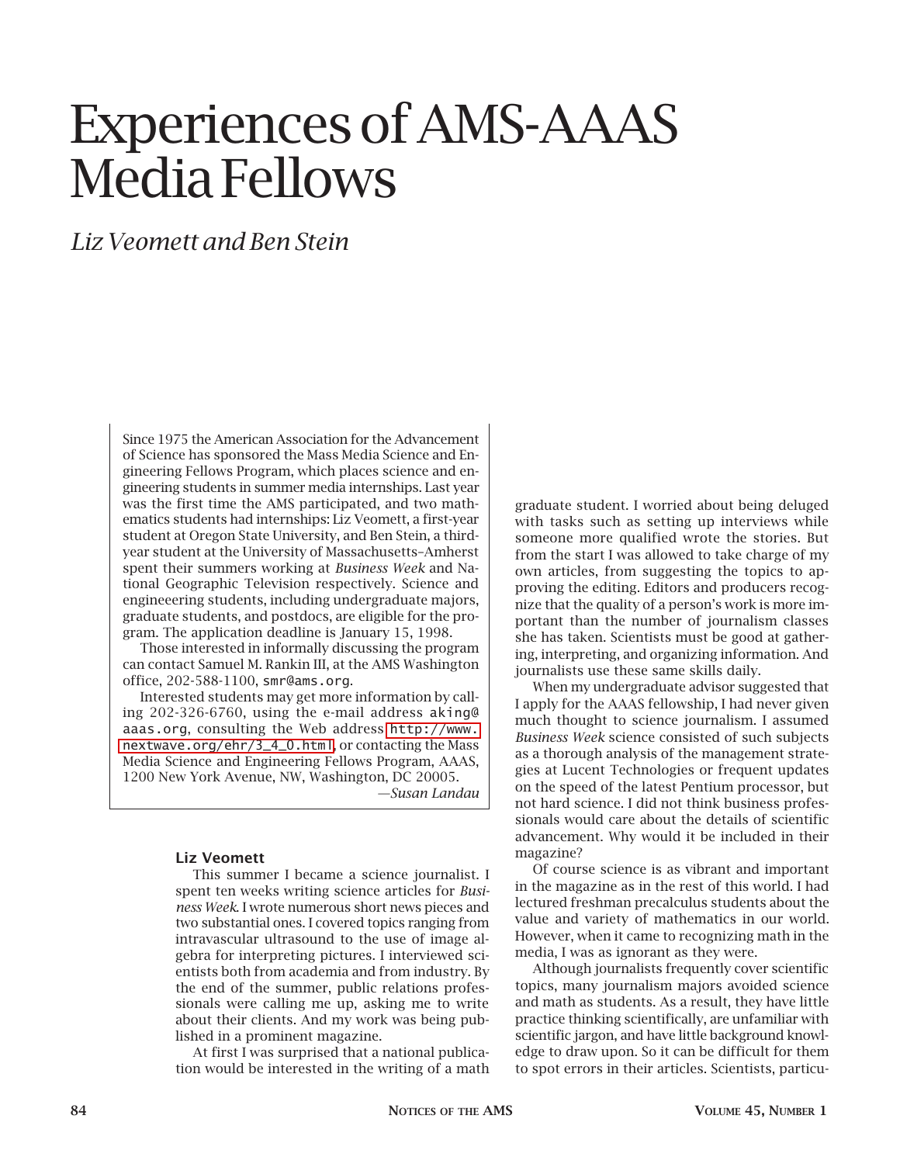## Experiences of AMS-AAAS Media Fellows

## *Liz Veomett and Ben Stein*

Since 1975 the American Association for the Advancement of Science has sponsored the Mass Media Science and Engineering Fellows Program, which places science and engineering students in summer media internships. Last year was the first time the AMS participated, and two mathematics students had internships: Liz Veomett, a first-year student at Oregon State University, and Ben Stein, a thirdyear student at the University of Massachusetts–Amherst spent their summers working at *Business Week* and National Geographic Television respectively. Science and engineeering students, including undergraduate majors, graduate students, and postdocs, are eligible for the program. The application deadline is January 15, 1998.

Those interested in informally discussing the program can contact Samuel M. Rankin III, at the AMS Washington office, 202-588-1100, smr@ams.org.

Interested students may get more information by calling 202-326-6760, using the e-mail address aking@ aaas.org, consulting the Web address [http://www.](http://www.nextwave.org/ehr/3_4_0.html) [nextwave.org/ehr/3\\_4\\_0.html](http://www.nextwave.org/ehr/3_4_0.html), or contacting the Mass Media Science and Engineering Fellows Program, AAAS, 1200 New York Avenue, NW, Washington, DC 20005.

*—Susan Landau*

## **Liz Veomett**

This summer I became a science journalist. I spent ten weeks writing science articles for *Business Week*. I wrote numerous short news pieces and two substantial ones. I covered topics ranging from intravascular ultrasound to the use of image algebra for interpreting pictures. I interviewed scientists both from academia and from industry. By the end of the summer, public relations professionals were calling me up, asking me to write about their clients. And my work was being published in a prominent magazine.

At first I was surprised that a national publication would be interested in the writing of a math

graduate student. I worried about being deluged with tasks such as setting up interviews while someone more qualified wrote the stories. But from the start I was allowed to take charge of my own articles, from suggesting the topics to approving the editing. Editors and producers recognize that the quality of a person's work is more important than the number of journalism classes she has taken. Scientists must be good at gathering, interpreting, and organizing information. And journalists use these same skills daily.

When my undergraduate advisor suggested that I apply for the AAAS fellowship, I had never given much thought to science journalism. I assumed *Business Week* science consisted of such subjects as a thorough analysis of the management strategies at Lucent Technologies or frequent updates on the speed of the latest Pentium processor, but not hard science. I did not think business professionals would care about the details of scientific advancement. Why would it be included in their magazine?

Of course science is as vibrant and important in the magazine as in the rest of this world. I had lectured freshman precalculus students about the value and variety of mathematics in our world. However, when it came to recognizing math in the media, I was as ignorant as they were.

Although journalists frequently cover scientific topics, many journalism majors avoided science and math as students. As a result, they have little practice thinking scientifically, are unfamiliar with scientific jargon, and have little background knowledge to draw upon. So it can be difficult for them to spot errors in their articles. Scientists, particu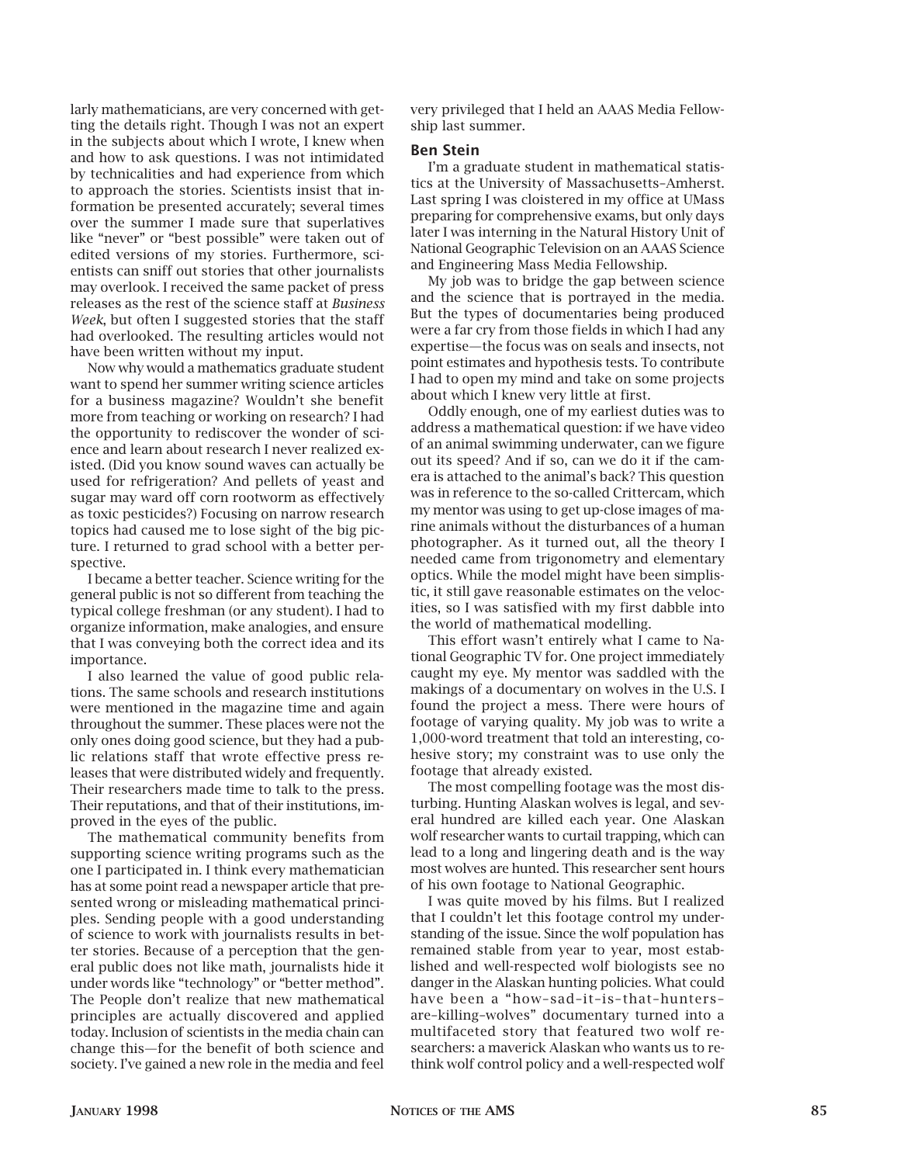larly mathematicians, are very concerned with getting the details right. Though I was not an expert in the subjects about which I wrote, I knew when and how to ask questions. I was not intimidated by technicalities and had experience from which to approach the stories. Scientists insist that information be presented accurately; several times over the summer I made sure that superlatives like "never" or "best possible" were taken out of edited versions of my stories. Furthermore, scientists can sniff out stories that other journalists may overlook. I received the same packet of press releases as the rest of the science staff at *Business Week*, but often I suggested stories that the staff had overlooked. The resulting articles would not have been written without my input.

Now why would a mathematics graduate student want to spend her summer writing science articles for a business magazine? Wouldn't she benefit more from teaching or working on research? I had the opportunity to rediscover the wonder of science and learn about research I never realized existed. (Did you know sound waves can actually be used for refrigeration? And pellets of yeast and sugar may ward off corn rootworm as effectively as toxic pesticides?) Focusing on narrow research topics had caused me to lose sight of the big picture. I returned to grad school with a better perspective.

I became a better teacher. Science writing for the general public is not so different from teaching the typical college freshman (or any student). I had to organize information, make analogies, and ensure that I was conveying both the correct idea and its importance.

I also learned the value of good public relations. The same schools and research institutions were mentioned in the magazine time and again throughout the summer. These places were not the only ones doing good science, but they had a public relations staff that wrote effective press releases that were distributed widely and frequently. Their researchers made time to talk to the press. Their reputations, and that of their institutions, improved in the eyes of the public.

The mathematical community benefits from supporting science writing programs such as the one I participated in. I think every mathematician has at some point read a newspaper article that presented wrong or misleading mathematical principles. Sending people with a good understanding of science to work with journalists results in better stories. Because of a perception that the general public does not like math, journalists hide it under words like "technology" or "better method". The People don't realize that new mathematical principles are actually discovered and applied today. Inclusion of scientists in the media chain can change this—for the benefit of both science and society. I've gained a new role in the media and feel very privileged that I held an AAAS Media Fellowship last summer.

## **Ben Stein**

I'm a graduate student in mathematical statistics at the University of Massachusetts–Amherst. Last spring I was cloistered in my office at UMass preparing for comprehensive exams, but only days later I was interning in the Natural History Unit of National Geographic Television on an AAAS Science and Engineering Mass Media Fellowship.

My job was to bridge the gap between science and the science that is portrayed in the media. But the types of documentaries being produced were a far cry from those fields in which I had any expertise—the focus was on seals and insects, not point estimates and hypothesis tests. To contribute I had to open my mind and take on some projects about which I knew very little at first.

Oddly enough, one of my earliest duties was to address a mathematical question: if we have video of an animal swimming underwater, can we figure out its speed? And if so, can we do it if the camera is attached to the animal's back? This question was in reference to the so-called Crittercam, which my mentor was using to get up-close images of marine animals without the disturbances of a human photographer. As it turned out, all the theory I needed came from trigonometry and elementary optics. While the model might have been simplistic, it still gave reasonable estimates on the velocities, so I was satisfied with my first dabble into the world of mathematical modelling.

This effort wasn't entirely what I came to National Geographic TV for. One project immediately caught my eye. My mentor was saddled with the makings of a documentary on wolves in the U.S. I found the project a mess. There were hours of footage of varying quality. My job was to write a 1,000-word treatment that told an interesting, cohesive story; my constraint was to use only the footage that already existed.

The most compelling footage was the most disturbing. Hunting Alaskan wolves is legal, and several hundred are killed each year. One Alaskan wolf researcher wants to curtail trapping, which can lead to a long and lingering death and is the way most wolves are hunted. This researcher sent hours of his own footage to National Geographic.

I was quite moved by his films. But I realized that I couldn't let this footage control my understanding of the issue. Since the wolf population has remained stable from year to year, most established and well-respected wolf biologists see no danger in the Alaskan hunting policies. What could have been a "how–sad–it–is–that–hunters– are–killing–wolves" documentary turned into a multifaceted story that featured two wolf researchers: a maverick Alaskan who wants us to rethink wolf control policy and a well-respected wolf